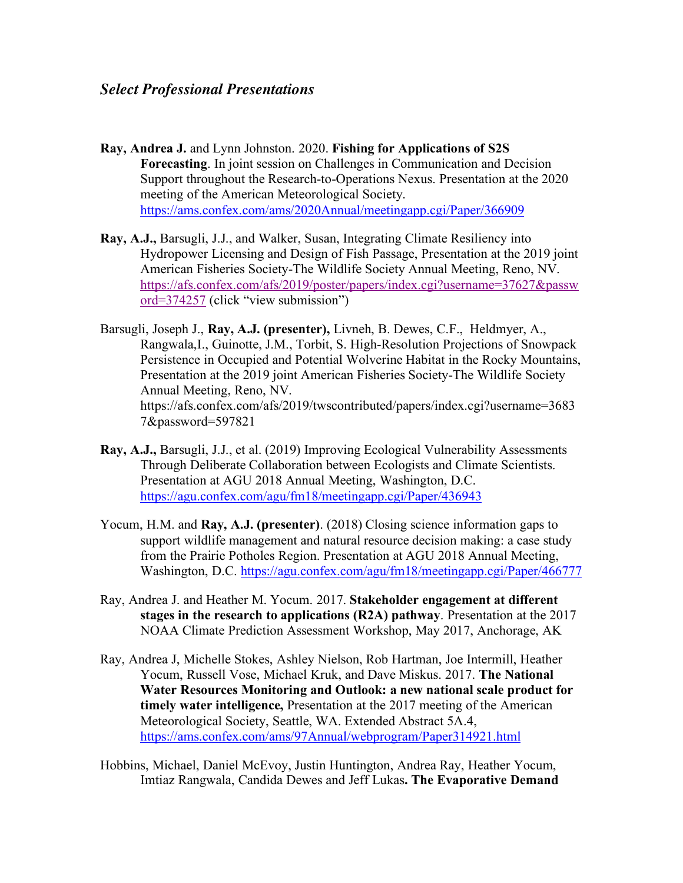- **Ray, Andrea J.** and Lynn Johnston. 2020. **Fishing for Applications of S2S Forecasting**. In joint session on Challenges in Communication and Decision Support throughout the Research-to-Operations Nexus. Presentation at the 2020 meeting of the American Meteorological Society. https://ams.confex.com/ams/2020Annual/meetingapp.cgi/Paper/366909
- **Ray, A.J.,** Barsugli, J.J., and Walker, Susan, Integrating Climate Resiliency into Hydropower Licensing and Design of Fish Passage, Presentation at the 2019 joint American Fisheries Society-The Wildlife Society Annual Meeting, Reno, NV. https://afs.confex.com/afs/2019/poster/papers/index.cgi?username=37627&passw ord=374257 (click "view submission")
- Barsugli, Joseph J., **Ray, A.J. (presenter),** Livneh, B. Dewes, C.F., Heldmyer, A., Rangwala,I., Guinotte, J.M., Torbit, S. High-Resolution Projections of Snowpack Persistence in Occupied and Potential Wolverine Habitat in the Rocky Mountains, Presentation at the 2019 joint American Fisheries Society-The Wildlife Society Annual Meeting, Reno, NV. https://afs.confex.com/afs/2019/twscontributed/papers/index.cgi?username=3683 7&password=597821
- **Ray, A.J.,** Barsugli, J.J., et al. (2019) Improving Ecological Vulnerability Assessments Through Deliberate Collaboration between Ecologists and Climate Scientists. Presentation at AGU 2018 Annual Meeting, Washington, D.C. https://agu.confex.com/agu/fm18/meetingapp.cgi/Paper/436943
- Yocum, H.M. and **Ray, A.J. (presenter)**. (2018) Closing science information gaps to support wildlife management and natural resource decision making: a case study from the Prairie Potholes Region. Presentation at AGU 2018 Annual Meeting, Washington, D.C. https://agu.confex.com/agu/fm18/meetingapp.cgi/Paper/466777
- Ray, Andrea J. and Heather M. Yocum. 2017. **Stakeholder engagement at different stages in the research to applications (R2A) pathway**. Presentation at the 2017 NOAA Climate Prediction Assessment Workshop, May 2017, Anchorage, AK
- Ray, Andrea J, Michelle Stokes, Ashley Nielson, Rob Hartman, Joe Intermill, Heather Yocum, Russell Vose, Michael Kruk, and Dave Miskus. 2017. **The National Water Resources Monitoring and Outlook: a new national scale product for timely water intelligence,** Presentation at the 2017 meeting of the American Meteorological Society, Seattle, WA. Extended Abstract 5A.4, https://ams.confex.com/ams/97Annual/webprogram/Paper314921.html
- Hobbins, Michael, Daniel McEvoy, Justin Huntington, Andrea Ray, Heather Yocum, Imtiaz Rangwala, Candida Dewes and Jeff Lukas**. The Evaporative Demand**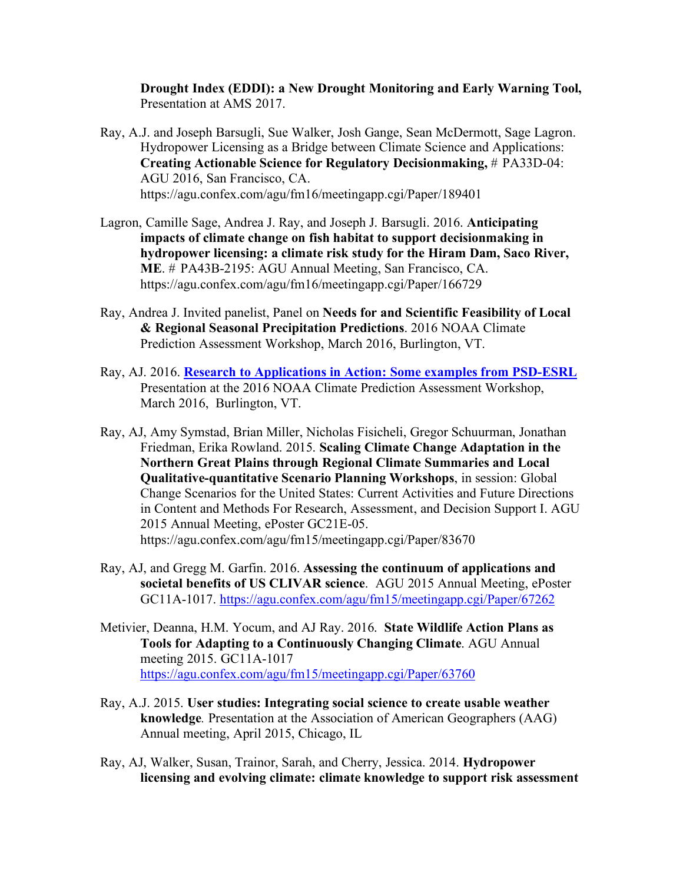**Drought Index (EDDI): a New Drought Monitoring and Early Warning Tool,** Presentation at AMS 2017.

- Ray, A.J. and Joseph Barsugli, Sue Walker, Josh Gange, Sean McDermott, Sage Lagron. Hydropower Licensing as a Bridge between Climate Science and Applications: **Creating Actionable Science for Regulatory Decisionmaking,** # PA33D-04: AGU 2016, San Francisco, CA. https://agu.confex.com/agu/fm16/meetingapp.cgi/Paper/189401
- Lagron, Camille Sage, Andrea J. Ray, and Joseph J. Barsugli. 2016. **Anticipating impacts of climate change on fish habitat to support decisionmaking in hydropower licensing: a climate risk study for the Hiram Dam, Saco River, ME**. # PA43B-2195: AGU Annual Meeting, San Francisco, CA. https://agu.confex.com/agu/fm16/meetingapp.cgi/Paper/166729
- Ray, Andrea J. Invited panelist, Panel on **Needs for and Scientific Feasibility of Local & Regional Seasonal Precipitation Predictions**. 2016 NOAA Climate Prediction Assessment Workshop, March 2016, Burlington, VT.
- Ray, AJ. 2016. **Research to Applications in Action: Some examples from PSD-ESRL** Presentation at the 2016 NOAA Climate Prediction Assessment Workshop, March 2016, Burlington, VT.
- Ray, AJ, Amy Symstad, Brian Miller, Nicholas Fisicheli, Gregor Schuurman, Jonathan Friedman, Erika Rowland. 2015. **Scaling Climate Change Adaptation in the Northern Great Plains through Regional Climate Summaries and Local Qualitative-quantitative Scenario Planning Workshops**, in session: Global Change Scenarios for the United States: Current Activities and Future Directions in Content and Methods For Research, Assessment, and Decision Support I. AGU 2015 Annual Meeting, ePoster GC21E-05. https://agu.confex.com/agu/fm15/meetingapp.cgi/Paper/83670
- Ray, AJ, and Gregg M. Garfin. 2016. **Assessing the continuum of applications and societal benefits of US CLIVAR science**. AGU 2015 Annual Meeting, ePoster GC11A-1017. https://agu.confex.com/agu/fm15/meetingapp.cgi/Paper/67262
- Metivier, Deanna, H.M. Yocum, and AJ Ray. 2016. **State Wildlife Action Plans as Tools for Adapting to a Continuously Changing Climate**. AGU Annual meeting 2015. GC11A-1017 https://agu.confex.com/agu/fm15/meetingapp.cgi/Paper/63760
- Ray, A.J. 2015. **User studies: Integrating social science to create usable weather knowledge***.* Presentation at the Association of American Geographers (AAG) Annual meeting, April 2015, Chicago, IL
- Ray, AJ, Walker, Susan, Trainor, Sarah, and Cherry, Jessica. 2014. **Hydropower licensing and evolving climate: climate knowledge to support risk assessment**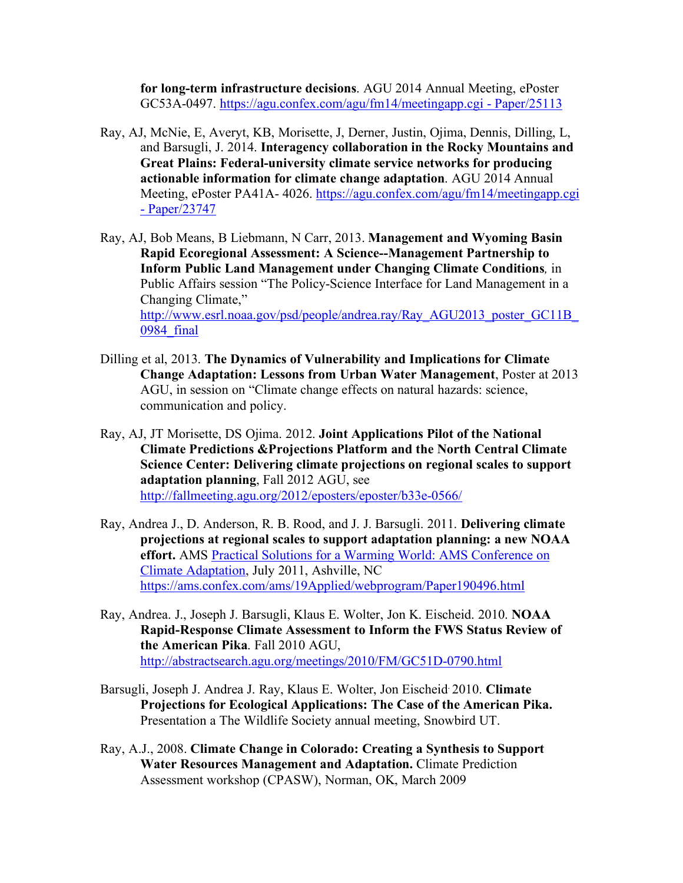**for long-term infrastructure decisions**. AGU 2014 Annual Meeting, ePoster GC53A-0497. https://agu.confex.com/agu/fm14/meetingapp.cgi - Paper/25113

- Ray, AJ, McNie, E, Averyt, KB, Morisette, J, Derner, Justin, Ojima, Dennis, Dilling, L, and Barsugli, J. 2014. **Interagency collaboration in the Rocky Mountains and Great Plains: Federal-university climate service networks for producing actionable information for climate change adaptation**. AGU 2014 Annual Meeting, ePoster PA41A- 4026. https://agu.confex.com/agu/fm14/meetingapp.cgi - Paper/23747
- Ray, AJ, Bob Means, B Liebmann, N Carr, 2013. **Management and Wyoming Basin Rapid Ecoregional Assessment: A Science--Management Partnership to Inform Public Land Management under Changing Climate Conditions***,* in Public Affairs session "The Policy-Science Interface for Land Management in a Changing Climate," http://www.esrl.noaa.gov/psd/people/andrea.ray/Ray\_AGU2013\_poster\_GC11B 0984\_final
- Dilling et al, 2013. **The Dynamics of Vulnerability and Implications for Climate Change Adaptation: Lessons from Urban Water Management**, Poster at 2013 AGU, in session on "Climate change effects on natural hazards: science, communication and policy.
- Ray, AJ, JT Morisette, DS Ojima. 2012. **Joint Applications Pilot of the National Climate Predictions &Projections Platform and the North Central Climate Science Center: Delivering climate projections on regional scales to support adaptation planning**, Fall 2012 AGU, see http://fallmeeting.agu.org/2012/eposters/eposter/b33e-0566/
- Ray, Andrea J., D. Anderson, R. B. Rood, and J. J. Barsugli. 2011. **Delivering climate projections at regional scales to support adaptation planning: a new NOAA effort.** AMS Practical Solutions for a Warming World: AMS Conference on Climate Adaptation, July 2011, Ashville, NC https://ams.confex.com/ams/19Applied/webprogram/Paper190496.html
- Ray, Andrea. J., Joseph J. Barsugli, Klaus E. Wolter, Jon K. Eischeid. 2010. **NOAA Rapid-Response Climate Assessment to Inform the FWS Status Review of the American Pika**. Fall 2010 AGU, http://abstractsearch.agu.org/meetings/2010/FM/GC51D-0790.html
- Barsugli, Joseph J. Andrea J. Ray, Klaus E. Wolter, Jon Eischeid. 2010. **Climate Projections for Ecological Applications: The Case of the American Pika.** Presentation a The Wildlife Society annual meeting, Snowbird UT.
- Ray, A.J., 2008. **Climate Change in Colorado: Creating a Synthesis to Support Water Resources Management and Adaptation.** Climate Prediction Assessment workshop (CPASW), Norman, OK, March 2009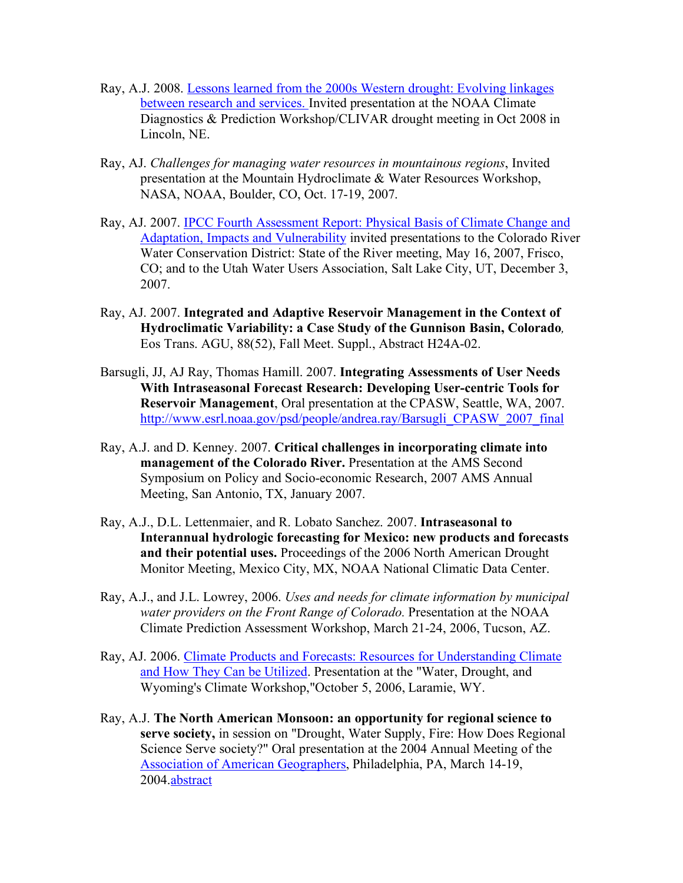- Ray, A.J. 2008. Lessons learned from the 2000s Western drought: Evolving linkages between research and services. Invited presentation at the NOAA Climate Diagnostics & Prediction Workshop/CLIVAR drought meeting in Oct 2008 in Lincoln, NE.
- Ray, AJ. *Challenges for managing water resources in mountainous regions*, Invited presentation at the Mountain Hydroclimate & Water Resources Workshop, NASA, NOAA, Boulder, CO, Oct. 17-19, 2007.
- Ray, AJ. 2007. IPCC Fourth Assessment Report: Physical Basis of Climate Change and Adaptation, Impacts and Vulnerability invited presentations to the Colorado River Water Conservation District: State of the River meeting, May 16, 2007, Frisco, CO; and to the Utah Water Users Association, Salt Lake City, UT, December 3, 2007.
- Ray, AJ. 2007. **Integrated and Adaptive Reservoir Management in the Context of Hydroclimatic Variability: a Case Study of the Gunnison Basin, Colorado***,* Eos Trans. AGU, 88(52), Fall Meet. Suppl., Abstract H24A-02.
- Barsugli, JJ, AJ Ray, Thomas Hamill. 2007. **Integrating Assessments of User Needs With Intraseasonal Forecast Research: Developing User-centric Tools for Reservoir Management**, Oral presentation at the CPASW, Seattle, WA, 2007. http://www.esrl.noaa.gov/psd/people/andrea.ray/Barsugli\_CPASW\_2007\_final
- Ray, A.J. and D. Kenney. 2007. **Critical challenges in incorporating climate into management of the Colorado River.** Presentation at the AMS Second Symposium on Policy and Socio-economic Research, 2007 AMS Annual Meeting, San Antonio, TX, January 2007.
- Ray, A.J., D.L. Lettenmaier, and R. Lobato Sanchez. 2007. **Intraseasonal to Interannual hydrologic forecasting for Mexico: new products and forecasts and their potential uses.** Proceedings of the 2006 North American Drought Monitor Meeting, Mexico City, MX, NOAA National Climatic Data Center.
- Ray, A.J., and J.L. Lowrey, 2006. *Uses and needs for climate information by municipal water providers on the Front Range of Colorado.* Presentation at the NOAA Climate Prediction Assessment Workshop, March 21-24, 2006, Tucson, AZ.
- Ray, AJ. 2006. Climate Products and Forecasts: Resources for Understanding Climate and How They Can be Utilized. Presentation at the "Water, Drought, and Wyoming's Climate Workshop,"October 5, 2006, Laramie, WY.
- Ray, A.J. **The North American Monsoon: an opportunity for regional science to serve society,** in session on "Drought, Water Supply, Fire: How Does Regional Science Serve society?" Oral presentation at the 2004 Annual Meeting of the Association of American Geographers, Philadelphia, PA, March 14-19, 2004.abstract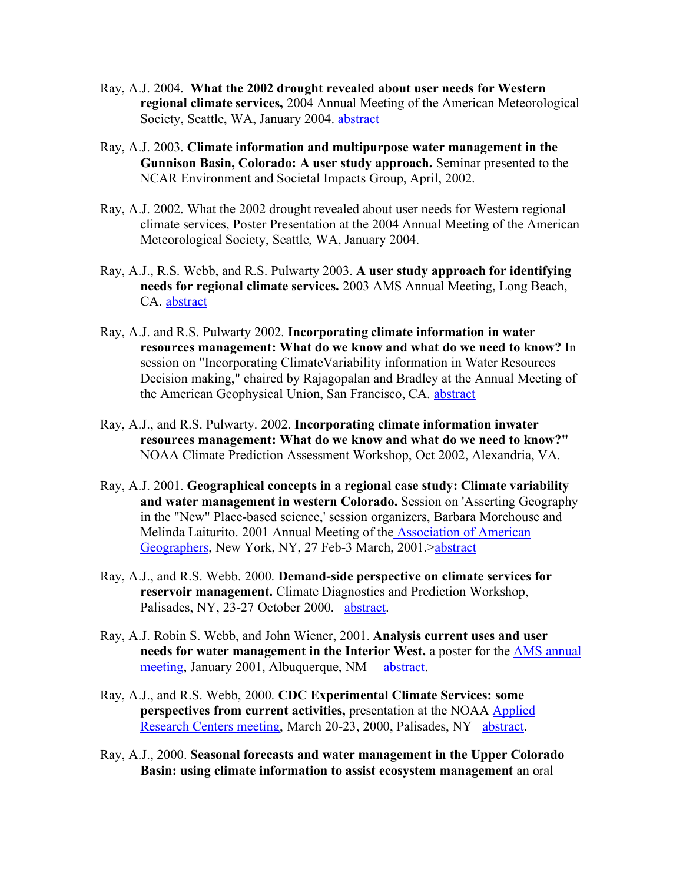- Ray, A.J. 2004. **What the 2002 drought revealed about user needs for Western regional climate services,** 2004 Annual Meeting of the American Meteorological Society, Seattle, WA, January 2004. abstract
- Ray, A.J. 2003. **Climate information and multipurpose water management in the Gunnison Basin, Colorado: A user study approach.** Seminar presented to the NCAR Environment and Societal Impacts Group, April, 2002.
- Ray, A.J. 2002. What the 2002 drought revealed about user needs for Western regional climate services, Poster Presentation at the 2004 Annual Meeting of the American Meteorological Society, Seattle, WA, January 2004.
- Ray, A.J., R.S. Webb, and R.S. Pulwarty 2003. **A user study approach for identifying needs for regional climate services.** 2003 AMS Annual Meeting, Long Beach, CA. abstract
- Ray, A.J. and R.S. Pulwarty 2002. **Incorporating climate information in water resources management: What do we know and what do we need to know?** In session on "Incorporating ClimateVariability information in Water Resources Decision making," chaired by Rajagopalan and Bradley at the Annual Meeting of the American Geophysical Union, San Francisco, CA. abstract
- Ray, A.J., and R.S. Pulwarty. 2002. **Incorporating climate information inwater resources management: What do we know and what do we need to know?"** NOAA Climate Prediction Assessment Workshop, Oct 2002, Alexandria, VA.
- Ray, A.J. 2001. **Geographical concepts in a regional case study: Climate variability and water management in western Colorado.** Session on 'Asserting Geography in the "New" Place-based science,' session organizers, Barbara Morehouse and Melinda Laiturito. 2001 Annual Meeting of the Association of American Geographers, New York, NY, 27 Feb-3 March, 2001.>abstract
- Ray, A.J., and R.S. Webb. 2000. **Demand-side perspective on climate services for reservoir management.** Climate Diagnostics and Prediction Workshop, Palisades, NY, 23-27 October 2000. abstract.
- Ray, A.J. Robin S. Webb, and John Wiener, 2001. **Analysis current uses and user needs for water management in the Interior West.** a poster for the AMS annual meeting, January 2001, Albuquerque, NM abstract.
- Ray, A.J., and R.S. Webb, 2000. **CDC Experimental Climate Services: some perspectives from current activities,** presentation at the NOAA Applied Research Centers meeting, March 20-23, 2000, Palisades, NY abstract.
- Ray, A.J., 2000. **Seasonal forecasts and water management in the Upper Colorado Basin: using climate information to assist ecosystem management** an oral